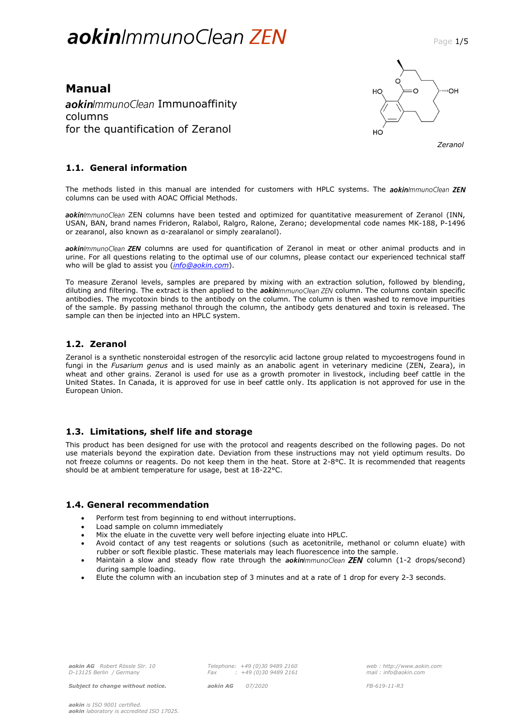# aokin/mmunoClean ZEN

## **Manual** aokinImmunoClean Immunoaffinity columns for the quantification of Zeranol



 *Zeranol*

## **1.1. General information**

The methods listed in this manual are intended for customers with HPLC systems. The aokinImmunoClean ZEN columns can be used with AOAC Official Methods.

aokin/mmunoClean ZEN columns have been tested and optimized for quantitative measurement of Zeranol (INN, USAN, BAN, brand names Frideron, Ralabol, Ralgro, Ralone, Zerano; developmental code names MK-188, P-1496 or zearanol, also known as α-zearalanol or simply zearalanol).

aokin/mmunoClean ZEN columns are used for quantification of Zeranol in meat or other animal products and in urine. For all questions relating to the optimal use of our columns, please contact our experienced technical staff who will be glad to assist you (*[info@aokin.com](mailto:info@aokin.com)*).

To measure Zeranol levels, samples are prepared by mixing with an extraction solution, followed by blending, diluting and filtering. The extract is then applied to the *aokinimmunoClean ZEN* column. The columns contain specific antibodies. The mycotoxin binds to the antibody on the column. The column is then washed to remove impurities of the sample. By passing methanol through the column, the antibody gets denatured and toxin is released. The sample can then be injected into an HPLC system.

## **1.2. Zeranol**

Zeranol is a synthetic nonsteroidal estrogen of the resorcylic acid lactone group related to mycoestrogens found in fungi in the *Fusarium genus* and is used mainly as an anabolic agent in veterinary medicine (ZEN, Zeara), in wheat and other grains. Zeranol is used for use as a growth promoter in livestock, including beef cattle in the United States. In Canada, it is approved for use in beef cattle only. Its application is not approved for use in the European Union.

## **1.3. Limitations, shelf life and storage**

This product has been designed for use with the protocol and reagents described on the following pages. Do not use materials beyond the expiration date. Deviation from these instructions may not yield optimum results. Do not freeze columns or reagents. Do not keep them in the heat. Store at 2-8°C. It is recommended that reagents should be at ambient temperature for usage, best at 18-22°C.

## **1.4. General recommendation**

- Perform test from beginning to end without interruptions.
- Load sample on column immediately
- Mix the eluate in the cuvette very well before injecting eluate into HPLC.
- Avoid contact of any test reagents or solutions (such as acetonitrile, methanol or column eluate) with rubber or soft flexible plastic. These materials may leach fluorescence into the sample.
- Maintain a slow and steady flow rate through the aokin/mmunoClean ZEN column (1-2 drops/second) during sample loading.
- Elute the column with an incubation step of 3 minutes and at a rate of 1 drop for every 2-3 seconds.

*Telephone: +49 (0)30 9489 2160 Fax : +49 (0)30 9489 2161*

*Subject to change without notice. aokin AG 07/2020 FB-619-11-R3*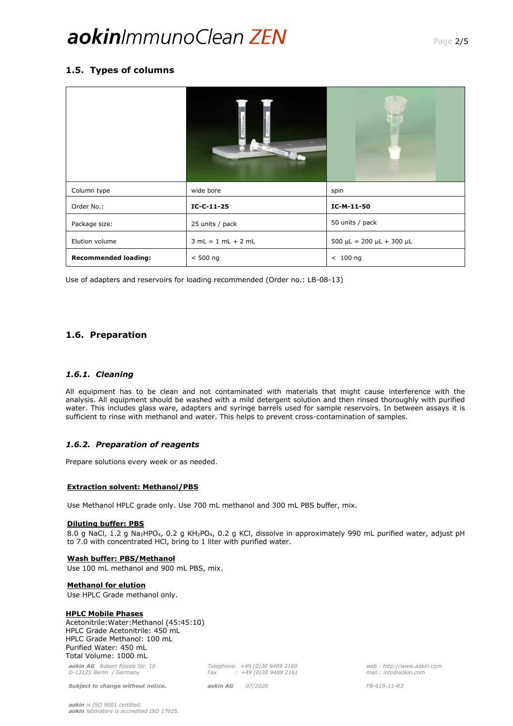# aokin*ImmunoClean* ZEN

## **1.5. Types of columns**

| Column type                 | wide bore            | spin                                |  |
|-----------------------------|----------------------|-------------------------------------|--|
| Order No.:                  | $IC-C-11-25$         | IC-M-11-50                          |  |
| Package size:               | 25 units / pack      | 50 units / pack                     |  |
| Elution volume              | $3 mL = 1 mL + 2 mL$ | $500 \mu L = 200 \mu L + 300 \mu L$ |  |
| <b>Recommended loading:</b> | $< 500$ ng           | $< 100$ ng                          |  |

Use of adapters and reservoirs for loading recommended (Order no.: LB-08-13)

## **1.6. Preparation**

## *1.6.1. Cleaning*

All equipment has to be clean and not contaminated with materials that might cause interference with the analysis. All equipment should be washed with a mild detergent solution and then rinsed thoroughly with purified water. This includes glass ware, adapters and syringe barrels used for sample reservoirs. In between assays it is sufficient to rinse with methanol and water. This helps to prevent cross-contamination of samples.

## *1.6.2. Preparation of reagents*

Prepare solutions every week or as needed.

## **Extraction solvent: Methanol/PBS**

Use Methanol HPLC grade only. Use 700 mL methanol and 300 mL PBS buffer, mix.

## **Diluting buffer: PBS**

8.0 g NaCl, 1.2 g Na<sub>2</sub>HPO<sub>4</sub>, 0.2 g KH<sub>2</sub>PO<sub>4</sub>, 0.2 g KCl, dissolve in approximately 990 mL purified water, adjust pH to 7.0 with concentrated HCl, bring to 1 liter with purified water.

## **Wash buffer: PBS/Methanol**

Use 100 mL methanol and 900 mL PBS, mix.

## **Methanol for elution**

Use HPLC Grade methanol only.

## **HPLC Mobile Phases**

Acetonitrile:Water:Methanol (45:45:10) HPLC Grade Acetonitrile: 450 mL HPLC Grade Methanol: 100 mL Purified Water: 450 mL Total Volume: 1000 mL

*aokin AG Robert Rössle Str. 10 D-13125 Berlin / Germany*

*Subject to change without notice. aokin AG 07/2020 FB-619-11-R3*

*Telephone: +49 (0)30 9489 2160 Fax : +49 (0)30 9489 2161*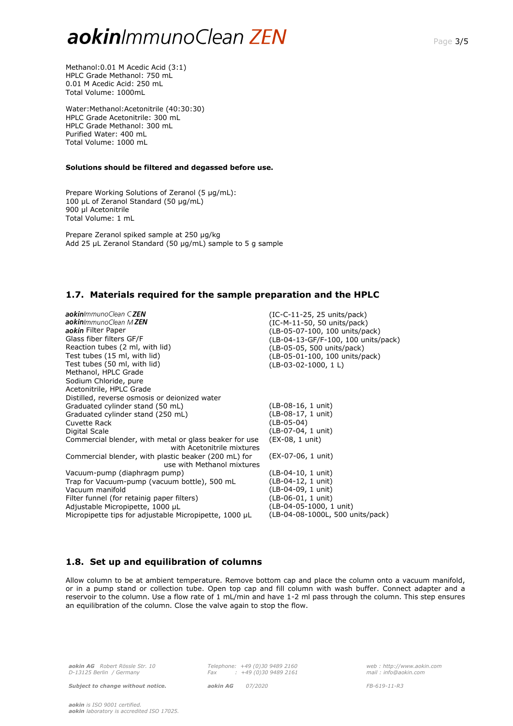# aokin*ImmunoClean* ZEN

Methanol:0.01 M Acedic Acid (3:1) HPLC Grade Methanol: 750 mL 0.01 M Acedic Acid: 250 mL Total Volume: 1000mL

Water:Methanol:Acetonitrile (40:30:30) HPLC Grade Acetonitrile: 300 mL HPLC Grade Methanol: 300 mL Purified Water: 400 mL Total Volume: 1000 mL

#### **Solutions should be filtered and degassed before use.**

Prepare Working Solutions of Zeranol (5 µg/mL): 100 µL of Zeranol Standard (50 µg/mL) 900 µl Acetonitrile Total Volume: 1 mL

Prepare Zeranol spiked sample at 250 µg/kg Add 25 µL Zeranol Standard (50 µg/mL) sample to 5 g sample

## **1.7. Materials required for the sample preparation and the HPLC**

aokin/mmunoClean C ZEN<br>aokin/mmunoClean M ZEN aokin Filter Paper Glass fiber filters GF/F Reaction tubes (2 ml, with lid) Test tubes (15 ml, with lid) Test tubes (50 ml, with lid) Methanol, HPLC Grade Sodium Chloride, pure Acetonitrile, HPLC Grade Distilled, reverse osmosis or deionized water Graduated cylinder stand (50 mL) Graduated cylinder stand (250 mL) Cuvette Rack Digital Scale Commercial blender, with metal or glass beaker for use with Acetonitrile mixtures Commercial blender, with plastic beaker (200 mL) for use with Methanol mixtures Vacuum-pump (diaphragm pump) Trap for Vacuum-pump (vacuum bottle), 500 mL Vacuum manifold Filter funnel (for retainig paper filters) Adjustable Micropipette, 1000 µL Micropipette tips for adjustable Micropipette, 1000 µL (IC-C-11-25, 25 units/pack) (IC-M-11-50, 50 units/pack) (LB-05-07-100, 100 units/pack) (LB-04-13-GF/F-100, 100 units/pack) (LB-05-05, 500 units/pack) (LB-05-01-100, 100 units/pack) (LB-03-02-1000, 1 L) (LB-08-16, 1 unit) (LB-08-17, 1 unit) (LB-05-04) (LB-07-04, 1 unit) (EX-08, 1 unit) (EX-07-06, 1 unit) (LB-04-10, 1 unit) (LB-04-12, 1 unit) (LB-04-09, 1 unit) (LB-06-01, 1 unit)  $(LB-04-05-1000, 1 \text{ unit})$ (LB-04-08-1000L, 500 units/pack)

## **1.8. Set up and equilibration of columns**

Allow column to be at ambient temperature. Remove bottom cap and place the column onto a vacuum manifold, or in a pump stand or collection tube. Open top cap and fill column with wash buffer. Connect adapter and a reservoir to the column. Use a flow rate of 1 mL/min and have 1-2 ml pass through the column. This step ensures an equilibration of the column. Close the valve again to stop the flow.

*aokin AG Robert Rössle Str. 10 D-13125 Berlin / Germany*

*Subject to change without notice. aokin AG 07/2020 FB-619-11-R3*

*Telephone: +49 (0)30 9489 2160 Fax : +49 (0)30 9489 2161*

*web : http://www.aokin.com mail : info@aokin.com*

*aokin is ISO 9001 certified. aokin laboratory is accredited ISO 17025.*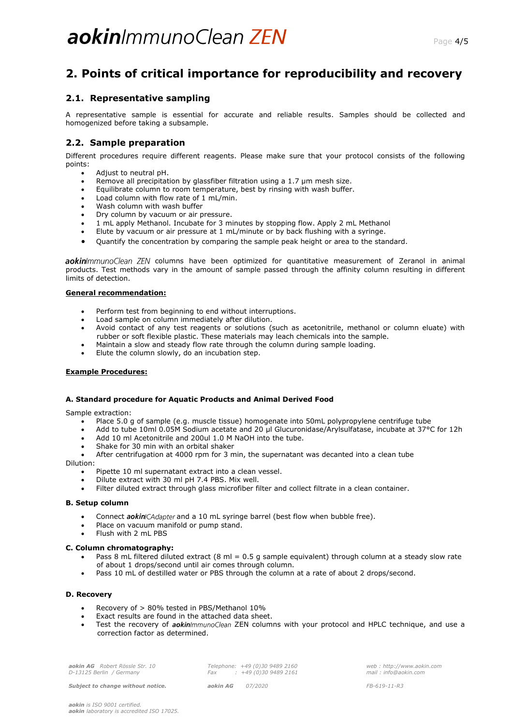# **2. Points of critical importance for reproducibility and recovery**

## **2.1. Representative sampling**

A representative sample is essential for accurate and reliable results. Samples should be collected and homogenized before taking a subsample.

## **2.2. Sample preparation**

Different procedures require different reagents. Please make sure that your protocol consists of the following points:

- Adjust to neutral pH.
- Remove all precipitation by glassfiber filtration using a 1.7 µm mesh size.
- Equilibrate column to room temperature, best by rinsing with wash buffer.
- Load column with flow rate of 1 mL/min.
- Wash column with wash buffer
- Dry column by vacuum or air pressure.
- 1 mL apply Methanol. Incubate for 3 minutes by stopping flow. Apply 2 mL Methanol
- Elute by vacuum or air pressure at 1 mL/minute or by back flushing with a syringe.
- Quantify the concentration by comparing the sample peak height or area to the standard.

aokin/mmunoClean ZEN columns have been optimized for quantitative measurement of Zeranol in animal products. Test methods vary in the amount of sample passed through the affinity column resulting in different limits of detection.

## **General recommendation:**

- Perform test from beginning to end without interruptions.
- Load sample on column immediately after dilution.
- Avoid contact of any test reagents or solutions (such as acetonitrile, methanol or column eluate) with rubber or soft flexible plastic. These materials may leach chemicals into the sample.
- Maintain a slow and steady flow rate through the column during sample loading.
- Elute the column slowly, do an incubation step.

## **Example Procedures:**

## **A. Standard procedure for Aquatic Products and Animal Derived Food**

Sample extraction:

- Place 5.0 g of sample (e.g. muscle tissue) homogenate into 50mL polypropylene centrifuge tube
- Add to tube 10ml 0.05M Sodium acetate and 20 μl Glucuronidase/Arylsulfatase, incubate at 37°C for 12h
- Add 10 ml Acetonitrile and 200ul 1.0 M NaOH into the tube.
- Shake for 30 min with an orbital shaker
- After centrifugation at 4000 rpm for 3 min, the supernatant was decanted into a clean tube

Dilution:

- Pipette 10 ml supernatant extract into a clean vessel.
- Dilute extract with 30 ml pH 7.4 PBS. Mix well.
- Filter diluted extract through glass microfiber filter and collect filtrate in a clean container.

#### **B. Setup column**

- Connect aokin/CAdapter and a 10 mL syringe barrel (best flow when bubble free).
- Place on vacuum manifold or pump stand.
- Flush with 2 mL PBS

#### **C. Column chromatography:**

- Pass 8 mL filtered diluted extract (8 ml = 0.5 g sample equivalent) through column at a steady slow rate of about 1 drops/second until air comes through column.
- Pass 10 mL of destilled water or PBS through the column at a rate of about 2 drops/second.

#### **D. Recovery**

- Recovery of > 80% tested in PBS/Methanol 10%
- Exact results are found in the attached data sheet.
- Test the recovery of aokin/mmunoClean ZEN columns with your protocol and HPLC technique, and use a correction factor as determined.

| aokin AG Robert Rössle Str. 10 |    |
|--------------------------------|----|
| D-13125 Berlin / Germany       | Fa |

*Subject to change without notice. aokin AG 07/2020 FB-619-11-R3*

*Telephone: +49 (0)30 9489 2160 Fax : +49 (0)30 9489 2161*

*web : http://www.aokin.com mail : info@aokin.com*